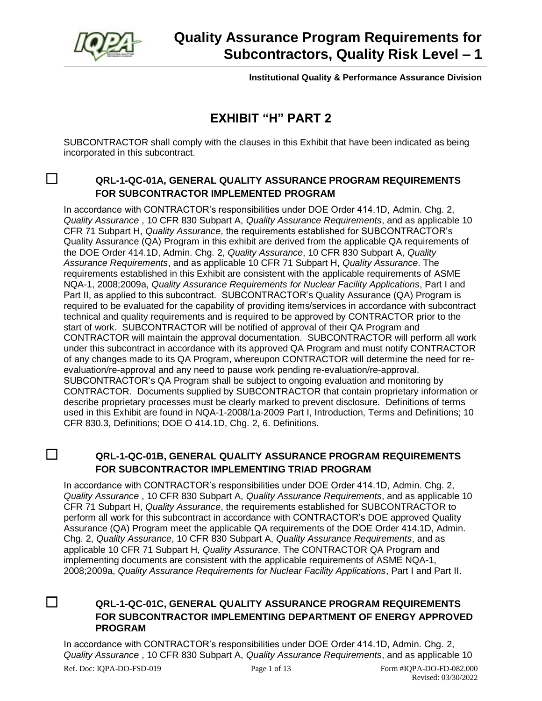

**Institutional Quality & Performance Assurance Division**

## **EXHIBIT "H" PART 2**

SUBCONTRACTOR shall comply with the clauses in this Exhibit that have been indicated as being incorporated in this subcontract.

## ☐ **QRL-1-QC-01A, GENERAL QUALITY ASSURANCE PROGRAM REQUIREMENTS FOR SUBCONTRACTOR IMPLEMENTED PROGRAM**

In accordance with CONTRACTOR's responsibilities under DOE Order 414.1D, Admin. Chg. 2, *Quality Assurance* , 10 CFR 830 Subpart A, *Quality Assurance Requirements*, and as applicable 10 CFR 71 Subpart H, *Quality Assurance*, the requirements established for SUBCONTRACTOR's Quality Assurance (QA) Program in this exhibit are derived from the applicable QA requirements of the DOE Order 414.1D, Admin. Chg. 2, *Quality Assurance*, 10 CFR 830 Subpart A, *Quality Assurance Requirements*, and as applicable 10 CFR 71 Subpart H, *Quality Assurance*. The requirements established in this Exhibit are consistent with the applicable requirements of ASME NQA-1, 2008;2009a, *Quality Assurance Requirements for Nuclear Facility Applications*, Part I and Part II, as applied to this subcontract. SUBCONTRACTOR's Quality Assurance (QA) Program is required to be evaluated for the capability of providing items/services in accordance with subcontract technical and quality requirements and is required to be approved by CONTRACTOR prior to the start of work. SUBCONTRACTOR will be notified of approval of their QA Program and CONTRACTOR will maintain the approval documentation. SUBCONTRACTOR will perform all work under this subcontract in accordance with its approved QA Program and must notify CONTRACTOR of any changes made to its QA Program, whereupon CONTRACTOR will determine the need for reevaluation/re-approval and any need to pause work pending re-evaluation/re-approval. SUBCONTRACTOR's QA Program shall be subject to ongoing evaluation and monitoring by CONTRACTOR. Documents supplied by SUBCONTRACTOR that contain proprietary information or describe proprietary processes must be clearly marked to prevent disclosure. Definitions of terms used in this Exhibit are found in NQA-1-2008/1a-2009 Part I, Introduction, Terms and Definitions; 10 CFR 830.3, Definitions; DOE O 414.1D, Chg. 2, 6. Definitions.

## ☐ **QRL-1-QC-01B, GENERAL QUALITY ASSURANCE PROGRAM REQUIREMENTS FOR SUBCONTRACTOR IMPLEMENTING TRIAD PROGRAM**

In accordance with CONTRACTOR's responsibilities under DOE Order 414.1D, Admin. Chg. 2, *Quality Assurance* , 10 CFR 830 Subpart A, *Quality Assurance Requirements*, and as applicable 10 CFR 71 Subpart H, *Quality Assurance*, the requirements established for SUBCONTRACTOR to perform all work for this subcontract in accordance with CONTRACTOR's DOE approved Quality Assurance (QA) Program meet the applicable QA requirements of the DOE Order 414.1D, Admin. Chg. 2, *Quality Assurance*, 10 CFR 830 Subpart A, *Quality Assurance Requirements*, and as applicable 10 CFR 71 Subpart H, *Quality Assurance*. The CONTRACTOR QA Program and implementing documents are consistent with the applicable requirements of ASME NQA-1, 2008;2009a, *Quality Assurance Requirements for Nuclear Facility Applications*, Part I and Part II.

## ☐ **QRL-1-QC-01C, GENERAL QUALITY ASSURANCE PROGRAM REQUIREMENTS FOR SUBCONTRACTOR IMPLEMENTING DEPARTMENT OF ENERGY APPROVED PROGRAM**

Ref. Doc: IQPA-DO-FSD-019 Page 1 of 13 Form #IQPA-DO-FD-082.000 In accordance with CONTRACTOR's responsibilities under DOE Order 414.1D, Admin. Chg. 2, *Quality Assurance* , 10 CFR 830 Subpart A, *Quality Assurance Requirements*, and as applicable 10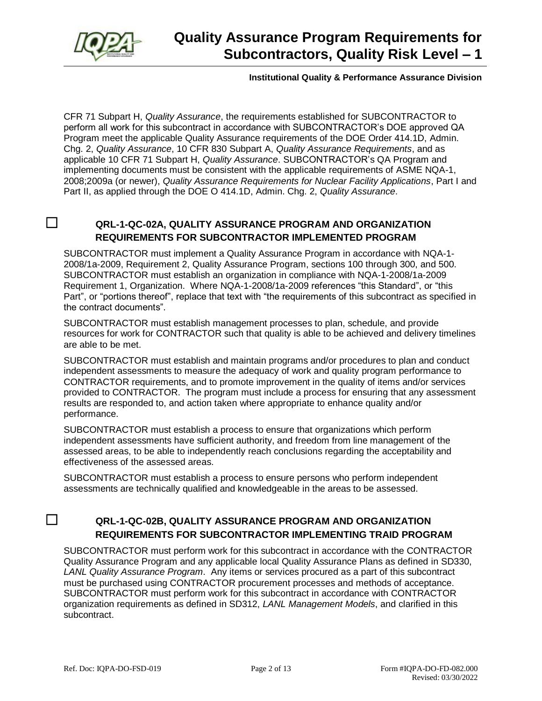

#### **Institutional Quality & Performance Assurance Division**

CFR 71 Subpart H, *Quality Assurance*, the requirements established for SUBCONTRACTOR to perform all work for this subcontract in accordance with SUBCONTRACTOR's DOE approved QA Program meet the applicable Quality Assurance requirements of the DOE Order 414.1D, Admin. Chg. 2, *Quality Assurance*, 10 CFR 830 Subpart A, *Quality Assurance Requirements*, and as applicable 10 CFR 71 Subpart H, *Quality Assurance*. SUBCONTRACTOR's QA Program and implementing documents must be consistent with the applicable requirements of ASME NQA-1, 2008;2009a (or newer), *Quality Assurance Requirements for Nuclear Facility Applications*, Part I and Part II, as applied through the DOE O 414.1D, Admin. Chg. 2, *Quality Assurance*.

#### ☐ **QRL-1-QC-02A, QUALITY ASSURANCE PROGRAM AND ORGANIZATION REQUIREMENTS FOR SUBCONTRACTOR IMPLEMENTED PROGRAM**

SUBCONTRACTOR must implement a Quality Assurance Program in accordance with NQA-1- 2008/1a-2009, Requirement 2, Quality Assurance Program, sections 100 through 300, and 500. SUBCONTRACTOR must establish an organization in compliance with NQA-1-2008/1a-2009 Requirement 1, Organization. Where NQA-1-2008/1a-2009 references "this Standard", or "this Part", or "portions thereof", replace that text with "the requirements of this subcontract as specified in the contract documents".

SUBCONTRACTOR must establish management processes to plan, schedule, and provide resources for work for CONTRACTOR such that quality is able to be achieved and delivery timelines are able to be met.

SUBCONTRACTOR must establish and maintain programs and/or procedures to plan and conduct independent assessments to measure the adequacy of work and quality program performance to CONTRACTOR requirements, and to promote improvement in the quality of items and/or services provided to CONTRACTOR. The program must include a process for ensuring that any assessment results are responded to, and action taken where appropriate to enhance quality and/or performance.

SUBCONTRACTOR must establish a process to ensure that organizations which perform independent assessments have sufficient authority, and freedom from line management of the assessed areas, to be able to independently reach conclusions regarding the acceptability and effectiveness of the assessed areas.

SUBCONTRACTOR must establish a process to ensure persons who perform independent assessments are technically qualified and knowledgeable in the areas to be assessed.

## ☐ **QRL-1-QC-02B, QUALITY ASSURANCE PROGRAM AND ORGANIZATION REQUIREMENTS FOR SUBCONTRACTOR IMPLEMENTING TRAID PROGRAM**

SUBCONTRACTOR must perform work for this subcontract in accordance with the CONTRACTOR Quality Assurance Program and any applicable local Quality Assurance Plans as defined in SD330, *LANL Quality Assurance Program*. Any items or services procured as a part of this subcontract must be purchased using CONTRACTOR procurement processes and methods of acceptance. SUBCONTRACTOR must perform work for this subcontract in accordance with CONTRACTOR organization requirements as defined in SD312, *LANL Management Models*, and clarified in this subcontract.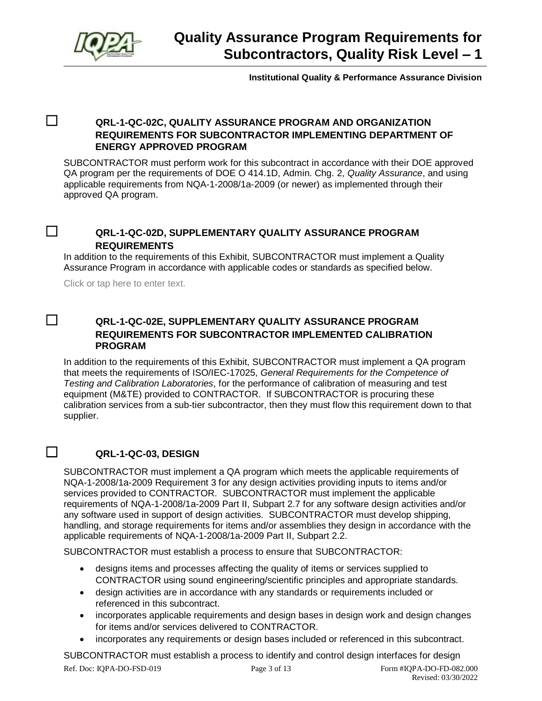

**Institutional Quality & Performance Assurance Division**

#### ☐ **QRL-1-QC-02C, QUALITY ASSURANCE PROGRAM AND ORGANIZATION REQUIREMENTS FOR SUBCONTRACTOR IMPLEMENTING DEPARTMENT OF ENERGY APPROVED PROGRAM**

SUBCONTRACTOR must perform work for this subcontract in accordance with their DOE approved QA program per the requirements of DOE O 414.1D, Admin. Chg. 2, *Quality Assurance*, and using applicable requirements from NQA-1-2008/1a-2009 (or newer) as implemented through their approved QA program.

#### ☐ **QRL-1-QC-02D, SUPPLEMENTARY QUALITY ASSURANCE PROGRAM REQUIREMENTS**

In addition to the requirements of this Exhibit, SUBCONTRACTOR must implement a Quality Assurance Program in accordance with applicable codes or standards as specified below.

Click or tap here to enter text.

#### ☐ **QRL-1-QC-02E, SUPPLEMENTARY QUALITY ASSURANCE PROGRAM REQUIREMENTS FOR SUBCONTRACTOR IMPLEMENTED CALIBRATION PROGRAM**

In addition to the requirements of this Exhibit, SUBCONTRACTOR must implement a QA program that meets the requirements of ISO/IEC-17025, *General Requirements for the Competence of Testing and Calibration Laboratories*, for the performance of calibration of measuring and test equipment (M&TE) provided to CONTRACTOR. If SUBCONTRACTOR is procuring these calibration services from a sub-tier subcontractor, then they must flow this requirement down to that supplier.

#### ☐ **QRL-1-QC-03, DESIGN**

SUBCONTRACTOR must implement a QA program which meets the applicable requirements of NQA-1-2008/1a-2009 Requirement 3 for any design activities providing inputs to items and/or services provided to CONTRACTOR. SUBCONTRACTOR must implement the applicable requirements of NQA-1-2008/1a-2009 Part II, Subpart 2.7 for any software design activities and/or any software used in support of design activities. SUBCONTRACTOR must develop shipping, handling, and storage requirements for items and/or assemblies they design in accordance with the applicable requirements of NQA-1-2008/1a-2009 Part II, Subpart 2.2.

SUBCONTRACTOR must establish a process to ensure that SUBCONTRACTOR:

- designs items and processes affecting the quality of items or services supplied to CONTRACTOR using sound engineering/scientific principles and appropriate standards.
- design activities are in accordance with any standards or requirements included or referenced in this subcontract.
- incorporates applicable requirements and design bases in design work and design changes for items and/or services delivered to CONTRACTOR.
- incorporates any requirements or design bases included or referenced in this subcontract.

Ref. Doc: IQPA-DO-FSD-019 Page 3 of 13 Form #IQPA-DO-FD-082.000 Revised: 03/30/2022 SUBCONTRACTOR must establish a process to identify and control design interfaces for design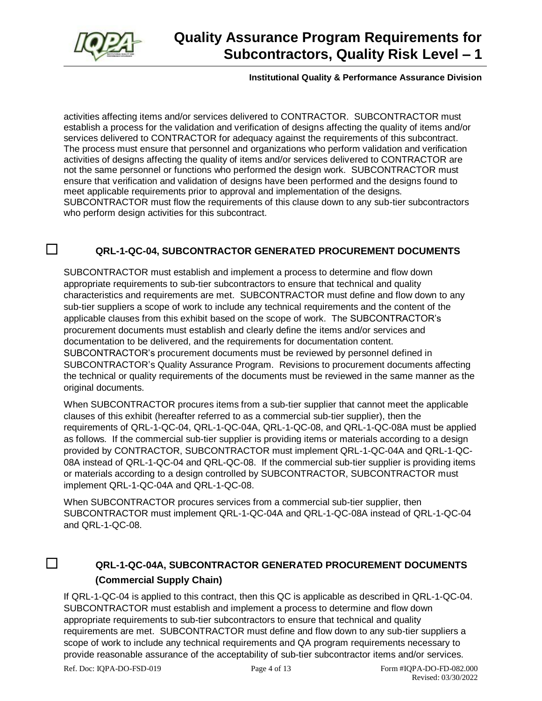

#### **Institutional Quality & Performance Assurance Division**

activities affecting items and/or services delivered to CONTRACTOR. SUBCONTRACTOR must establish a process for the validation and verification of designs affecting the quality of items and/or services delivered to CONTRACTOR for adequacy against the requirements of this subcontract. The process must ensure that personnel and organizations who perform validation and verification activities of designs affecting the quality of items and/or services delivered to CONTRACTOR are not the same personnel or functions who performed the design work. SUBCONTRACTOR must ensure that verification and validation of designs have been performed and the designs found to meet applicable requirements prior to approval and implementation of the designs. SUBCONTRACTOR must flow the requirements of this clause down to any sub-tier subcontractors who perform design activities for this subcontract.

## ☐ **QRL-1-QC-04, SUBCONTRACTOR GENERATED PROCUREMENT DOCUMENTS**

SUBCONTRACTOR must establish and implement a process to determine and flow down appropriate requirements to sub-tier subcontractors to ensure that technical and quality characteristics and requirements are met. SUBCONTRACTOR must define and flow down to any sub-tier suppliers a scope of work to include any technical requirements and the content of the applicable clauses from this exhibit based on the scope of work. The SUBCONTRACTOR's procurement documents must establish and clearly define the items and/or services and documentation to be delivered, and the requirements for documentation content. SUBCONTRACTOR's procurement documents must be reviewed by personnel defined in SUBCONTRACTOR's Quality Assurance Program. Revisions to procurement documents affecting the technical or quality requirements of the documents must be reviewed in the same manner as the original documents.

When SUBCONTRACTOR procures items from a sub-tier supplier that cannot meet the applicable clauses of this exhibit (hereafter referred to as a commercial sub-tier supplier), then the requirements of QRL-1-QC-04, QRL-1-QC-04A, QRL-1-QC-08, and QRL-1-QC-08A must be applied as follows. If the commercial sub-tier supplier is providing items or materials according to a design provided by CONTRACTOR, SUBCONTRACTOR must implement QRL-1-QC-04A and QRL-1-QC-08A instead of QRL-1-QC-04 and QRL-QC-08. If the commercial sub-tier supplier is providing items or materials according to a design controlled by SUBCONTRACTOR, SUBCONTRACTOR must implement QRL-1-QC-04A and QRL-1-QC-08.

When SUBCONTRACTOR procures services from a commercial sub-tier supplier, then SUBCONTRACTOR must implement QRL-1-QC-04A and QRL-1-QC-08A instead of QRL-1-QC-04 and QRL-1-QC-08.

## ☐ **QRL-1-QC-04A, SUBCONTRACTOR GENERATED PROCUREMENT DOCUMENTS (Commercial Supply Chain)**

If QRL-1-QC-04 is applied to this contract, then this QC is applicable as described in QRL-1-QC-04. SUBCONTRACTOR must establish and implement a process to determine and flow down appropriate requirements to sub-tier subcontractors to ensure that technical and quality requirements are met. SUBCONTRACTOR must define and flow down to any sub-tier suppliers a scope of work to include any technical requirements and QA program requirements necessary to provide reasonable assurance of the acceptability of sub-tier subcontractor items and/or services.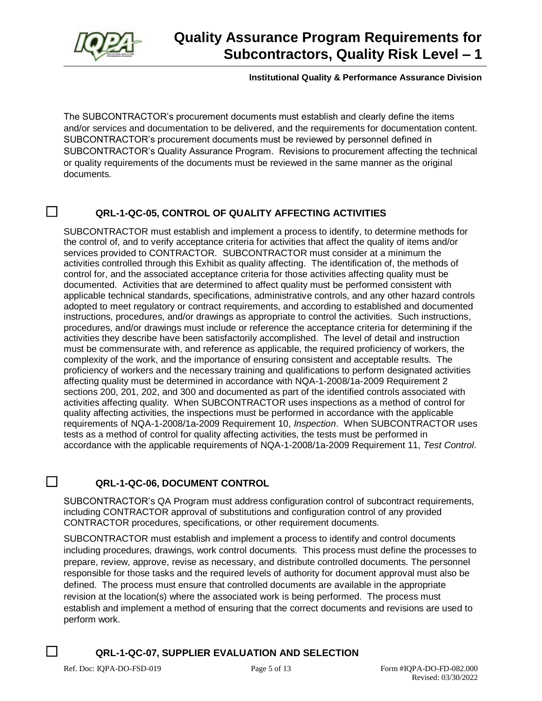

#### **Institutional Quality & Performance Assurance Division**

The SUBCONTRACTOR's procurement documents must establish and clearly define the items and/or services and documentation to be delivered, and the requirements for documentation content. SUBCONTRACTOR's procurement documents must be reviewed by personnel defined in SUBCONTRACTOR's Quality Assurance Program. Revisions to procurement affecting the technical or quality requirements of the documents must be reviewed in the same manner as the original documents.

#### ☐ **QRL-1-QC-05, CONTROL OF QUALITY AFFECTING ACTIVITIES**

SUBCONTRACTOR must establish and implement a process to identify, to determine methods for the control of, and to verify acceptance criteria for activities that affect the quality of items and/or services provided to CONTRACTOR. SUBCONTRACTOR must consider at a minimum the activities controlled through this Exhibit as quality affecting. The identification of, the methods of control for, and the associated acceptance criteria for those activities affecting quality must be documented. Activities that are determined to affect quality must be performed consistent with applicable technical standards, specifications, administrative controls, and any other hazard controls adopted to meet regulatory or contract requirements, and according to established and documented instructions, procedures, and/or drawings as appropriate to control the activities. Such instructions, procedures, and/or drawings must include or reference the acceptance criteria for determining if the activities they describe have been satisfactorily accomplished. The level of detail and instruction must be commensurate with, and reference as applicable, the required proficiency of workers, the complexity of the work, and the importance of ensuring consistent and acceptable results. The proficiency of workers and the necessary training and qualifications to perform designated activities affecting quality must be determined in accordance with NQA-1-2008/1a-2009 Requirement 2 sections 200, 201, 202, and 300 and documented as part of the identified controls associated with activities affecting quality. When SUBCONTRACTOR uses inspections as a method of control for quality affecting activities, the inspections must be performed in accordance with the applicable requirements of NQA-1-2008/1a-2009 Requirement 10, *Inspection*. When SUBCONTRACTOR uses tests as a method of control for quality affecting activities, the tests must be performed in accordance with the applicable requirements of NQA-1-2008/1a-2009 Requirement 11, *Test Control*.

#### ☐ **QRL-1-QC-06, DOCUMENT CONTROL**

SUBCONTRACTOR's QA Program must address configuration control of subcontract requirements, including CONTRACTOR approval of substitutions and configuration control of any provided CONTRACTOR procedures, specifications, or other requirement documents.

SUBCONTRACTOR must establish and implement a process to identify and control documents including procedures, drawings, work control documents. This process must define the processes to prepare, review, approve, revise as necessary, and distribute controlled documents. The personnel responsible for those tasks and the required levels of authority for document approval must also be defined. The process must ensure that controlled documents are available in the appropriate revision at the location(s) where the associated work is being performed. The process must establish and implement a method of ensuring that the correct documents and revisions are used to perform work.

#### ☐ **QRL-1-QC-07, SUPPLIER EVALUATION AND SELECTION**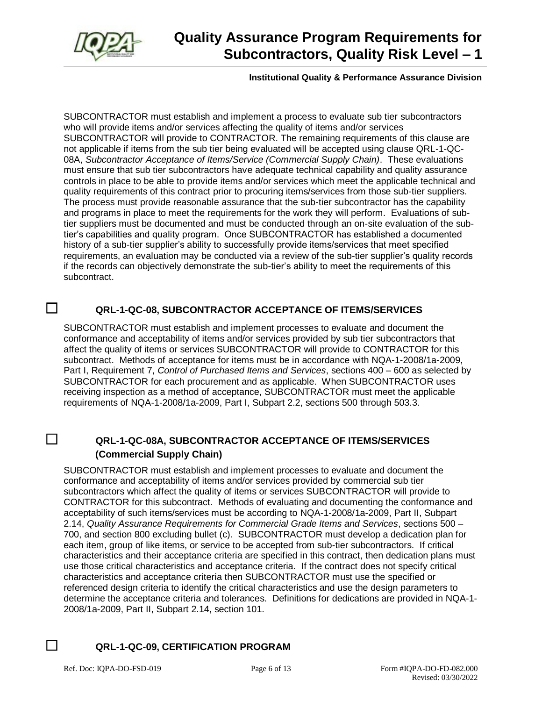

#### **Institutional Quality & Performance Assurance Division**

SUBCONTRACTOR must establish and implement a process to evaluate sub tier subcontractors who will provide items and/or services affecting the quality of items and/or services SUBCONTRACTOR will provide to CONTRACTOR. The remaining requirements of this clause are not applicable if items from the sub tier being evaluated will be accepted using clause QRL-1-QC-08A, *Subcontractor Acceptance of Items/Service (Commercial Supply Chain)*. These evaluations must ensure that sub tier subcontractors have adequate technical capability and quality assurance controls in place to be able to provide items and/or services which meet the applicable technical and quality requirements of this contract prior to procuring items/services from those sub-tier suppliers. The process must provide reasonable assurance that the sub-tier subcontractor has the capability and programs in place to meet the requirements for the work they will perform. Evaluations of subtier suppliers must be documented and must be conducted through an on-site evaluation of the subtier's capabilities and quality program. Once SUBCONTRACTOR has established a documented history of a sub-tier supplier's ability to successfully provide items/services that meet specified requirements, an evaluation may be conducted via a review of the sub-tier supplier's quality records if the records can objectively demonstrate the sub-tier's ability to meet the requirements of this subcontract.

## ☐ **QRL-1-QC-08, SUBCONTRACTOR ACCEPTANCE OF ITEMS/SERVICES**

SUBCONTRACTOR must establish and implement processes to evaluate and document the conformance and acceptability of items and/or services provided by sub tier subcontractors that affect the quality of items or services SUBCONTRACTOR will provide to CONTRACTOR for this subcontract. Methods of acceptance for items must be in accordance with NQA-1-2008/1a-2009, Part I, Requirement 7, *Control of Purchased Items and Services*, sections 400 – 600 as selected by SUBCONTRACTOR for each procurement and as applicable. When SUBCONTRACTOR uses receiving inspection as a method of acceptance, SUBCONTRACTOR must meet the applicable requirements of NQA-1-2008/1a-2009, Part I, Subpart 2.2, sections 500 through 503.3.

## ☐ **QRL-1-QC-08A, SUBCONTRACTOR ACCEPTANCE OF ITEMS/SERVICES (Commercial Supply Chain)**

SUBCONTRACTOR must establish and implement processes to evaluate and document the conformance and acceptability of items and/or services provided by commercial sub tier subcontractors which affect the quality of items or services SUBCONTRACTOR will provide to CONTRACTOR for this subcontract. Methods of evaluating and documenting the conformance and acceptability of such items/services must be according to NQA-1-2008/1a-2009, Part II, Subpart 2.14, *Quality Assurance Requirements for Commercial Grade Items and Services*, sections 500 – 700, and section 800 excluding bullet (c). SUBCONTRACTOR must develop a dedication plan for each item, group of like items, or service to be accepted from sub-tier subcontractors. If critical characteristics and their acceptance criteria are specified in this contract, then dedication plans must use those critical characteristics and acceptance criteria. If the contract does not specify critical characteristics and acceptance criteria then SUBCONTRACTOR must use the specified or referenced design criteria to identify the critical characteristics and use the design parameters to determine the acceptance criteria and tolerances. Definitions for dedications are provided in NQA-1- 2008/1a-2009, Part II, Subpart 2.14, section 101.

#### ☐ **QRL-1-QC-09, CERTIFICATION PROGRAM**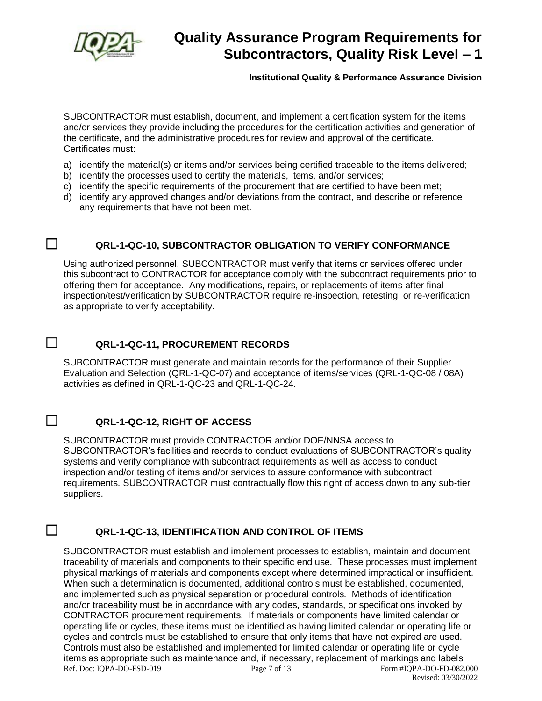

#### **Institutional Quality & Performance Assurance Division**

SUBCONTRACTOR must establish, document, and implement a certification system for the items and/or services they provide including the procedures for the certification activities and generation of the certificate, and the administrative procedures for review and approval of the certificate. Certificates must:

- a) identify the material(s) or items and/or services being certified traceable to the items delivered;
- b) identify the processes used to certify the materials, items, and/or services;
- c) identify the specific requirements of the procurement that are certified to have been met;
- d) identify any approved changes and/or deviations from the contract, and describe or reference any requirements that have not been met.

## ☐ **QRL-1-QC-10, SUBCONTRACTOR OBLIGATION TO VERIFY CONFORMANCE**

Using authorized personnel, SUBCONTRACTOR must verify that items or services offered under this subcontract to CONTRACTOR for acceptance comply with the subcontract requirements prior to offering them for acceptance. Any modifications, repairs, or replacements of items after final inspection/test/verification by SUBCONTRACTOR require re-inspection, retesting, or re-verification as appropriate to verify acceptability.

## ☐ **QRL-1-QC-11, PROCUREMENT RECORDS**

SUBCONTRACTOR must generate and maintain records for the performance of their Supplier Evaluation and Selection (QRL-1-QC-07) and acceptance of items/services (QRL-1-QC-08 / 08A) activities as defined in QRL-1-QC-23 and QRL-1-QC-24.

#### ☐ **QRL-1-QC-12, RIGHT OF ACCESS**

SUBCONTRACTOR must provide CONTRACTOR and/or DOE/NNSA access to SUBCONTRACTOR's facilities and records to conduct evaluations of SUBCONTRACTOR's quality systems and verify compliance with subcontract requirements as well as access to conduct inspection and/or testing of items and/or services to assure conformance with subcontract requirements. SUBCONTRACTOR must contractually flow this right of access down to any sub-tier suppliers.

#### ☐ **QRL-1-QC-13, IDENTIFICATION AND CONTROL OF ITEMS**

Ref. Doc: IQPA-DO-FSD-019 Page 7 of 13 Form #IQPA-DO-FD-082.000 Revised: 03/30/2022 SUBCONTRACTOR must establish and implement processes to establish, maintain and document traceability of materials and components to their specific end use. These processes must implement physical markings of materials and components except where determined impractical or insufficient. When such a determination is documented, additional controls must be established, documented, and implemented such as physical separation or procedural controls. Methods of identification and/or traceability must be in accordance with any codes, standards, or specifications invoked by CONTRACTOR procurement requirements. If materials or components have limited calendar or operating life or cycles, these items must be identified as having limited calendar or operating life or cycles and controls must be established to ensure that only items that have not expired are used. Controls must also be established and implemented for limited calendar or operating life or cycle items as appropriate such as maintenance and, if necessary, replacement of markings and labels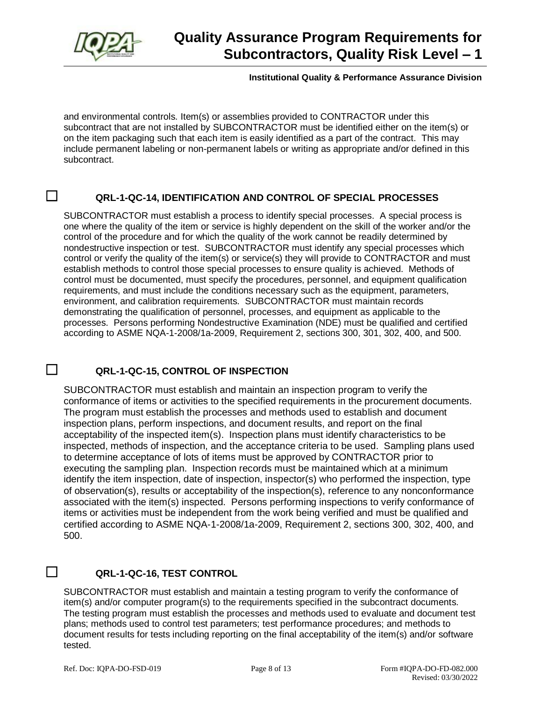

#### **Institutional Quality & Performance Assurance Division**

and environmental controls. Item(s) or assemblies provided to CONTRACTOR under this subcontract that are not installed by SUBCONTRACTOR must be identified either on the item(s) or on the item packaging such that each item is easily identified as a part of the contract. This may include permanent labeling or non-permanent labels or writing as appropriate and/or defined in this subcontract.

## ☐ **QRL-1-QC-14, IDENTIFICATION AND CONTROL OF SPECIAL PROCESSES**

SUBCONTRACTOR must establish a process to identify special processes. A special process is one where the quality of the item or service is highly dependent on the skill of the worker and/or the control of the procedure and for which the quality of the work cannot be readily determined by nondestructive inspection or test. SUBCONTRACTOR must identify any special processes which control or verify the quality of the item(s) or service(s) they will provide to CONTRACTOR and must establish methods to control those special processes to ensure quality is achieved. Methods of control must be documented, must specify the procedures, personnel, and equipment qualification requirements, and must include the conditions necessary such as the equipment, parameters, environment, and calibration requirements. SUBCONTRACTOR must maintain records demonstrating the qualification of personnel, processes, and equipment as applicable to the processes. Persons performing Nondestructive Examination (NDE) must be qualified and certified according to ASME NQA-1-2008/1a-2009, Requirement 2, sections 300, 301, 302, 400, and 500.

## ☐ **QRL-1-QC-15, CONTROL OF INSPECTION**

SUBCONTRACTOR must establish and maintain an inspection program to verify the conformance of items or activities to the specified requirements in the procurement documents. The program must establish the processes and methods used to establish and document inspection plans, perform inspections, and document results, and report on the final acceptability of the inspected item(s). Inspection plans must identify characteristics to be inspected, methods of inspection, and the acceptance criteria to be used. Sampling plans used to determine acceptance of lots of items must be approved by CONTRACTOR prior to executing the sampling plan. Inspection records must be maintained which at a minimum identify the item inspection, date of inspection, inspector(s) who performed the inspection, type of observation(s), results or acceptability of the inspection(s), reference to any nonconformance associated with the item(s) inspected. Persons performing inspections to verify conformance of items or activities must be independent from the work being verified and must be qualified and certified according to ASME NQA-1-2008/1a-2009, Requirement 2, sections 300, 302, 400, and 500.

#### ☐ **QRL-1-QC-16, TEST CONTROL**

SUBCONTRACTOR must establish and maintain a testing program to verify the conformance of item(s) and/or computer program(s) to the requirements specified in the subcontract documents. The testing program must establish the processes and methods used to evaluate and document test plans; methods used to control test parameters; test performance procedures; and methods to document results for tests including reporting on the final acceptability of the item(s) and/or software tested.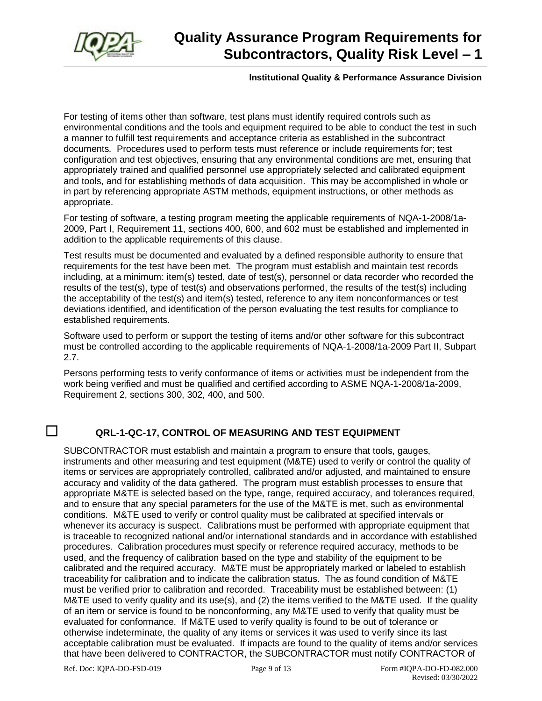

#### **Institutional Quality & Performance Assurance Division**

For testing of items other than software, test plans must identify required controls such as environmental conditions and the tools and equipment required to be able to conduct the test in such a manner to fulfill test requirements and acceptance criteria as established in the subcontract documents. Procedures used to perform tests must reference or include requirements for; test configuration and test objectives, ensuring that any environmental conditions are met, ensuring that appropriately trained and qualified personnel use appropriately selected and calibrated equipment and tools, and for establishing methods of data acquisition. This may be accomplished in whole or in part by referencing appropriate ASTM methods, equipment instructions, or other methods as appropriate.

For testing of software, a testing program meeting the applicable requirements of NQA-1-2008/1a-2009, Part I, Requirement 11, sections 400, 600, and 602 must be established and implemented in addition to the applicable requirements of this clause.

Test results must be documented and evaluated by a defined responsible authority to ensure that requirements for the test have been met. The program must establish and maintain test records including, at a minimum: item(s) tested, date of test(s), personnel or data recorder who recorded the results of the test(s), type of test(s) and observations performed, the results of the test(s) including the acceptability of the test(s) and item(s) tested, reference to any item nonconformances or test deviations identified, and identification of the person evaluating the test results for compliance to established requirements.

Software used to perform or support the testing of items and/or other software for this subcontract must be controlled according to the applicable requirements of NQA-1-2008/1a-2009 Part II, Subpart 2.7.

Persons performing tests to verify conformance of items or activities must be independent from the work being verified and must be qualified and certified according to ASME NQA-1-2008/1a-2009, Requirement 2, sections 300, 302, 400, and 500.

## ☐ **QRL-1-QC-17, CONTROL OF MEASURING AND TEST EQUIPMENT**

SUBCONTRACTOR must establish and maintain a program to ensure that tools, gauges, instruments and other measuring and test equipment (M&TE) used to verify or control the quality of items or services are appropriately controlled, calibrated and/or adjusted, and maintained to ensure accuracy and validity of the data gathered. The program must establish processes to ensure that appropriate M&TE is selected based on the type, range, required accuracy, and tolerances required, and to ensure that any special parameters for the use of the M&TE is met, such as environmental conditions. M&TE used to verify or control quality must be calibrated at specified intervals or whenever its accuracy is suspect. Calibrations must be performed with appropriate equipment that is traceable to recognized national and/or international standards and in accordance with established procedures. Calibration procedures must specify or reference required accuracy, methods to be used, and the frequency of calibration based on the type and stability of the equipment to be calibrated and the required accuracy. M&TE must be appropriately marked or labeled to establish traceability for calibration and to indicate the calibration status. The as found condition of M&TE must be verified prior to calibration and recorded. Traceability must be established between: (1) M&TE used to verify quality and its use(s), and (2) the items verified to the M&TE used. If the quality of an item or service is found to be nonconforming, any M&TE used to verify that quality must be evaluated for conformance. If M&TE used to verify quality is found to be out of tolerance or otherwise indeterminate, the quality of any items or services it was used to verify since its last acceptable calibration must be evaluated. If impacts are found to the quality of items and/or services that have been delivered to CONTRACTOR, the SUBCONTRACTOR must notify CONTRACTOR of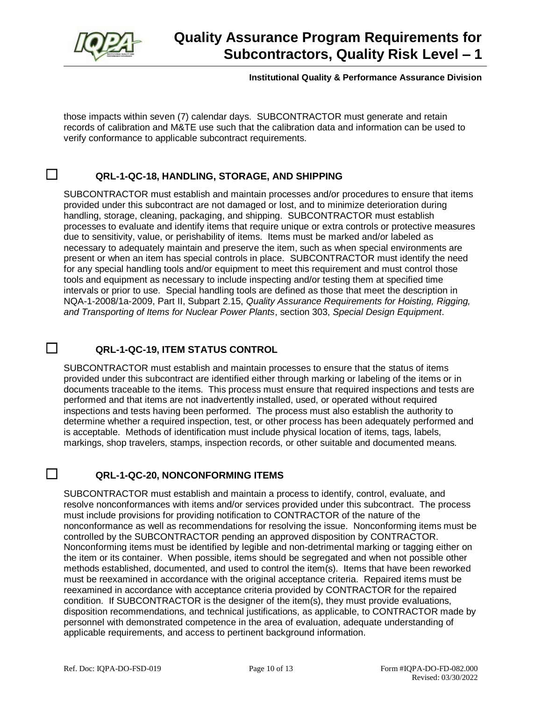

#### **Institutional Quality & Performance Assurance Division**

those impacts within seven (7) calendar days. SUBCONTRACTOR must generate and retain records of calibration and M&TE use such that the calibration data and information can be used to verify conformance to applicable subcontract requirements.

#### ☐ **QRL-1-QC-18, HANDLING, STORAGE, AND SHIPPING**

SUBCONTRACTOR must establish and maintain processes and/or procedures to ensure that items provided under this subcontract are not damaged or lost, and to minimize deterioration during handling, storage, cleaning, packaging, and shipping. SUBCONTRACTOR must establish processes to evaluate and identify items that require unique or extra controls or protective measures due to sensitivity, value, or perishability of items. Items must be marked and/or labeled as necessary to adequately maintain and preserve the item, such as when special environments are present or when an item has special controls in place. SUBCONTRACTOR must identify the need for any special handling tools and/or equipment to meet this requirement and must control those tools and equipment as necessary to include inspecting and/or testing them at specified time intervals or prior to use. Special handling tools are defined as those that meet the description in NQA-1-2008/1a-2009, Part II, Subpart 2.15, *Quality Assurance Requirements for Hoisting, Rigging, and Transporting of Items for Nuclear Power Plants*, section 303, *Special Design Equipment*.

#### ☐ **QRL-1-QC-19, ITEM STATUS CONTROL**

SUBCONTRACTOR must establish and maintain processes to ensure that the status of items provided under this subcontract are identified either through marking or labeling of the items or in documents traceable to the items. This process must ensure that required inspections and tests are performed and that items are not inadvertently installed, used, or operated without required inspections and tests having been performed. The process must also establish the authority to determine whether a required inspection, test, or other process has been adequately performed and is acceptable. Methods of identification must include physical location of items, tags, labels, markings, shop travelers, stamps, inspection records, or other suitable and documented means.

#### ☐ **QRL-1-QC-20, NONCONFORMING ITEMS**

SUBCONTRACTOR must establish and maintain a process to identify, control, evaluate, and resolve nonconformances with items and/or services provided under this subcontract. The process must include provisions for providing notification to CONTRACTOR of the nature of the nonconformance as well as recommendations for resolving the issue. Nonconforming items must be controlled by the SUBCONTRACTOR pending an approved disposition by CONTRACTOR. Nonconforming items must be identified by legible and non-detrimental marking or tagging either on the item or its container. When possible, items should be segregated and when not possible other methods established, documented, and used to control the item(s). Items that have been reworked must be reexamined in accordance with the original acceptance criteria. Repaired items must be reexamined in accordance with acceptance criteria provided by CONTRACTOR for the repaired condition. If SUBCONTRACTOR is the designer of the item(s), they must provide evaluations, disposition recommendations, and technical justifications, as applicable, to CONTRACTOR made by personnel with demonstrated competence in the area of evaluation, adequate understanding of applicable requirements, and access to pertinent background information.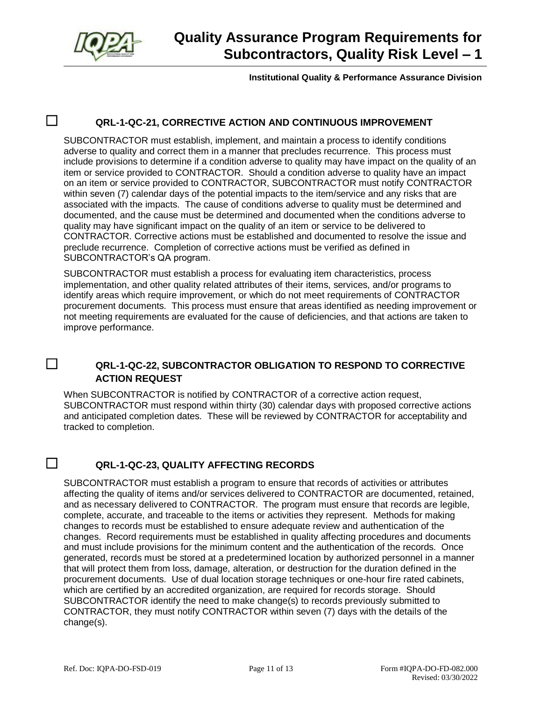

#### **Institutional Quality & Performance Assurance Division**

## ☐ **QRL-1-QC-21, CORRECTIVE ACTION AND CONTINUOUS IMPROVEMENT**

SUBCONTRACTOR must establish, implement, and maintain a process to identify conditions adverse to quality and correct them in a manner that precludes recurrence. This process must include provisions to determine if a condition adverse to quality may have impact on the quality of an item or service provided to CONTRACTOR. Should a condition adverse to quality have an impact on an item or service provided to CONTRACTOR, SUBCONTRACTOR must notify CONTRACTOR within seven (7) calendar days of the potential impacts to the item/service and any risks that are associated with the impacts. The cause of conditions adverse to quality must be determined and documented, and the cause must be determined and documented when the conditions adverse to quality may have significant impact on the quality of an item or service to be delivered to CONTRACTOR. Corrective actions must be established and documented to resolve the issue and preclude recurrence. Completion of corrective actions must be verified as defined in SUBCONTRACTOR's QA program.

SUBCONTRACTOR must establish a process for evaluating item characteristics, process implementation, and other quality related attributes of their items, services, and/or programs to identify areas which require improvement, or which do not meet requirements of CONTRACTOR procurement documents. This process must ensure that areas identified as needing improvement or not meeting requirements are evaluated for the cause of deficiencies, and that actions are taken to improve performance.

#### ☐ **QRL-1-QC-22, SUBCONTRACTOR OBLIGATION TO RESPOND TO CORRECTIVE ACTION REQUEST**

When SUBCONTRACTOR is notified by CONTRACTOR of a corrective action request, SUBCONTRACTOR must respond within thirty (30) calendar days with proposed corrective actions and anticipated completion dates. These will be reviewed by CONTRACTOR for acceptability and tracked to completion.

## ☐ **QRL-1-QC-23, QUALITY AFFECTING RECORDS**

SUBCONTRACTOR must establish a program to ensure that records of activities or attributes affecting the quality of items and/or services delivered to CONTRACTOR are documented, retained, and as necessary delivered to CONTRACTOR. The program must ensure that records are legible, complete, accurate, and traceable to the items or activities they represent. Methods for making changes to records must be established to ensure adequate review and authentication of the changes. Record requirements must be established in quality affecting procedures and documents and must include provisions for the minimum content and the authentication of the records. Once generated, records must be stored at a predetermined location by authorized personnel in a manner that will protect them from loss, damage, alteration, or destruction for the duration defined in the procurement documents. Use of dual location storage techniques or one-hour fire rated cabinets, which are certified by an accredited organization, are required for records storage. Should SUBCONTRACTOR identify the need to make change(s) to records previously submitted to CONTRACTOR, they must notify CONTRACTOR within seven (7) days with the details of the change(s).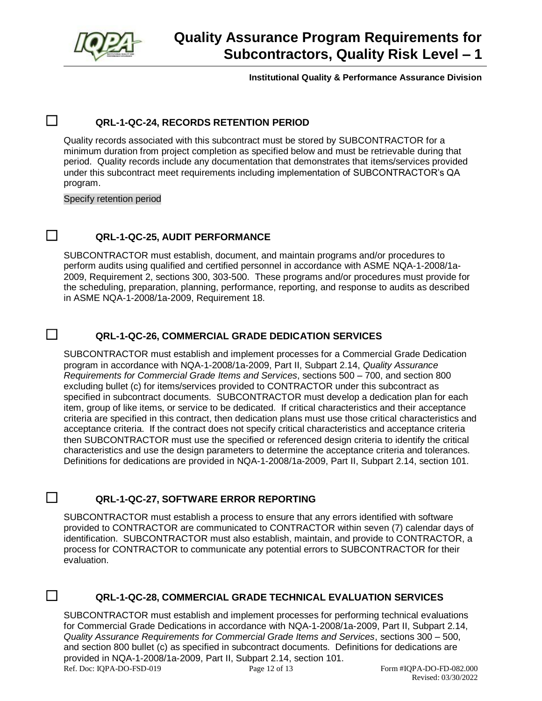

**Institutional Quality & Performance Assurance Division**

## ☐ **QRL-1-QC-24, RECORDS RETENTION PERIOD**

Quality records associated with this subcontract must be stored by SUBCONTRACTOR for a minimum duration from project completion as specified below and must be retrievable during that period. Quality records include any documentation that demonstrates that items/services provided under this subcontract meet requirements including implementation of SUBCONTRACTOR's QA program.

Specify retention period

#### ☐ **QRL-1-QC-25, AUDIT PERFORMANCE**

SUBCONTRACTOR must establish, document, and maintain programs and/or procedures to perform audits using qualified and certified personnel in accordance with ASME NQA-1-2008/1a-2009, Requirement 2, sections 300, 303-500. These programs and/or procedures must provide for the scheduling, preparation, planning, performance, reporting, and response to audits as described in ASME NQA-1-2008/1a-2009, Requirement 18.

#### ☐ **QRL-1-QC-26, COMMERCIAL GRADE DEDICATION SERVICES**

SUBCONTRACTOR must establish and implement processes for a Commercial Grade Dedication program in accordance with NQA-1-2008/1a-2009, Part II, Subpart 2.14, *Quality Assurance Requirements for Commercial Grade Items and Services*, sections 500 – 700, and section 800 excluding bullet (c) for items/services provided to CONTRACTOR under this subcontract as specified in subcontract documents. SUBCONTRACTOR must develop a dedication plan for each item, group of like items, or service to be dedicated. If critical characteristics and their acceptance criteria are specified in this contract, then dedication plans must use those critical characteristics and acceptance criteria. If the contract does not specify critical characteristics and acceptance criteria then SUBCONTRACTOR must use the specified or referenced design criteria to identify the critical characteristics and use the design parameters to determine the acceptance criteria and tolerances. Definitions for dedications are provided in NQA-1-2008/1a-2009, Part II, Subpart 2.14, section 101.

#### ☐ **QRL-1-QC-27, SOFTWARE ERROR REPORTING**

SUBCONTRACTOR must establish a process to ensure that any errors identified with software provided to CONTRACTOR are communicated to CONTRACTOR within seven (7) calendar days of identification. SUBCONTRACTOR must also establish, maintain, and provide to CONTRACTOR, a process for CONTRACTOR to communicate any potential errors to SUBCONTRACTOR for their evaluation.

#### ☐ **QRL-1-QC-28, COMMERCIAL GRADE TECHNICAL EVALUATION SERVICES**

Ref. Doc: IQPA-DO-FSD-019 Page 12 of 13 Form #IQPA-DO-FD-082.000 SUBCONTRACTOR must establish and implement processes for performing technical evaluations for Commercial Grade Dedications in accordance with NQA-1-2008/1a-2009, Part II, Subpart 2.14, *Quality Assurance Requirements for Commercial Grade Items and Services*, sections 300 – 500, and section 800 bullet (c) as specified in subcontract documents. Definitions for dedications are provided in NQA-1-2008/1a-2009, Part II, Subpart 2.14, section 101.

Revised: 03/30/2022